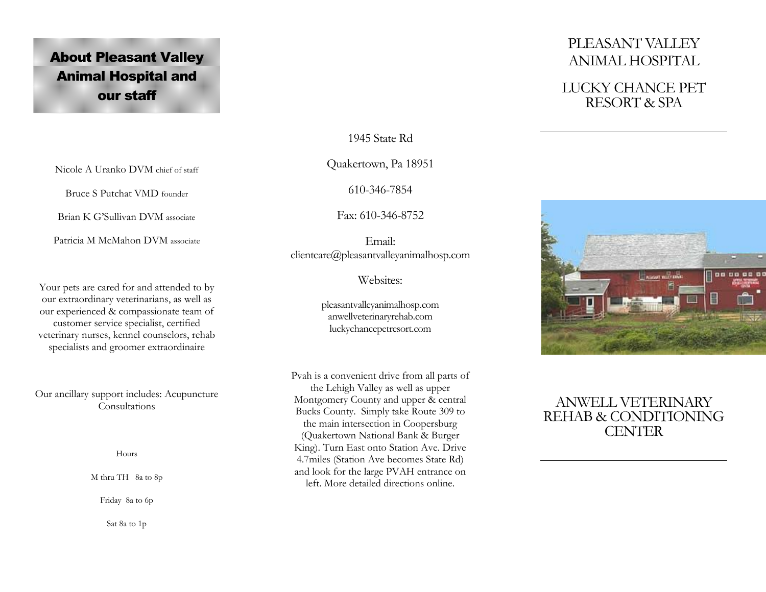# About Pleasant Valley Animal Hospital and **our staff**

1945 State Rd

Quakertown, Pa 18951

610-346-7854

Fax: 610-346-8752

Email: clientcare@pleasantvalleyanimalhosp.com

Websites:

pleasantvalleyanimalhosp.com anwellveterinaryrehab.com luckychancepetresort.com

Pvah is a convenient drive from all parts of the Lehigh Valley as well as upper Montgomery County and upper & central Bucks County. Simply take Route 309 to the main intersection in Coopersburg (Quakertown National Bank & Burger King). Turn East onto Station Ave. Drive 4.7miles (Station Ave becomes State Rd) and look for the large PVAH entrance on left. More detailed directions online.

# PLEASANT VALLEY ANIMAL HOSPITAL

## LUCKY CHANCE PET RESORT & SPA



## ANWELL VETERINARY REHAB & CONDITIONING **CENTER**

Nicole A Uranko DVM chief of staff

Bruce S Putchat VMD founder

Brian K G'Sullivan DVM associate

Patricia M McMahon DVM associate

Your pets are cared for and attended to by our extraordinary veterinarians, as well as our experienced & compassionate team of customer service specialist, certified veterinary nurses, kennel counselors, rehab specialists and groomer extraordinaire

Our ancillary support includes: Acupuncture Consultations

Hours

M thru TH 8a to 8p

Friday 8a to 6p

Sat 8a to 1p